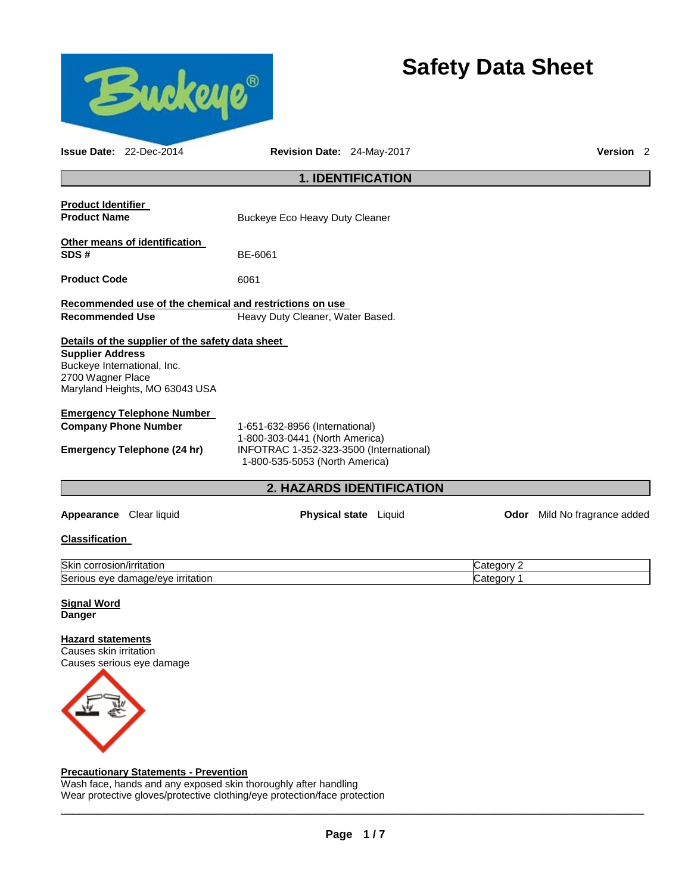

# **Safety Data Sheet**

| <b>Issue Date: 22-Dec-2014</b>                                                                                | Revision Date: 24-May-2017                                                                                                                    |                                      | Version <sub>2</sub>    |  |  |  |
|---------------------------------------------------------------------------------------------------------------|-----------------------------------------------------------------------------------------------------------------------------------------------|--------------------------------------|-------------------------|--|--|--|
| <b>1. IDENTIFICATION</b>                                                                                      |                                                                                                                                               |                                      |                         |  |  |  |
| <b>Product Identifier</b><br><b>Product Name</b>                                                              | Buckeye Eco Heavy Duty Cleaner                                                                                                                |                                      |                         |  |  |  |
| Other means of identification<br>SDS#                                                                         | BE-6061                                                                                                                                       |                                      |                         |  |  |  |
| <b>Product Code</b>                                                                                           | 6061                                                                                                                                          |                                      |                         |  |  |  |
| <b>Recommended Use</b>                                                                                        | Recommended use of the chemical and restrictions on use<br>Heavy Duty Cleaner, Water Based.                                                   |                                      |                         |  |  |  |
| <b>Supplier Address</b><br>Buckeye International, Inc.<br>2700 Wagner Place<br>Maryland Heights, MO 63043 USA | Details of the supplier of the safety data sheet                                                                                              |                                      |                         |  |  |  |
| <b>Emergency Telephone Number</b><br><b>Company Phone Number</b><br><b>Emergency Telephone (24 hr)</b>        | 1-651-632-8956 (International)<br>1-800-303-0441 (North America)<br>INFOTRAC 1-352-323-3500 (International)<br>1-800-535-5053 (North America) |                                      |                         |  |  |  |
|                                                                                                               |                                                                                                                                               | <b>2. HAZARDS IDENTIFICATION</b>     |                         |  |  |  |
| Appearance Clear liquid                                                                                       |                                                                                                                                               | <b>Physical state</b> Liquid<br>Odor | Mild No fragrance added |  |  |  |

# **Classification**

| <b>Skin</b><br>/irritation<br>corrosion<br>77 I F    | ∵atedorvٽ  |
|------------------------------------------------------|------------|
| Seric<br>/e irritation<br>damage/eve<br>eve<br>rious | ′ atedoryب |

#### **Signal Word Danger**

# **Hazard statements**

Causes skin irritation Causes serious eye damage



# **Precautionary Statements - Prevention**

Wash face, hands and any exposed skin thoroughly after handling Wear protective gloves/protective clothing/eye protection/face protection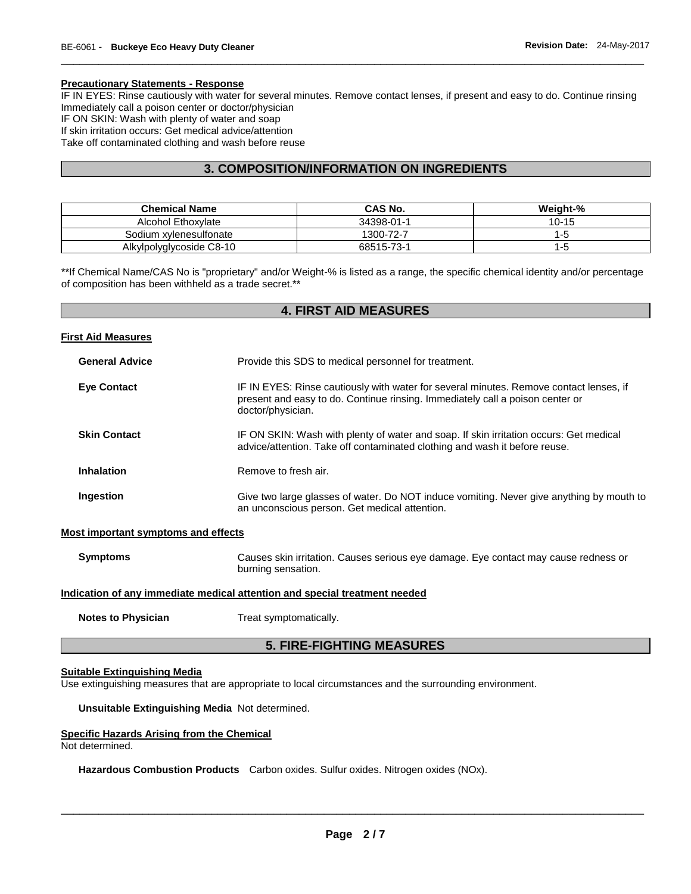#### **Precautionary Statements - Response**

IF IN EYES: Rinse cautiously with water for several minutes. Remove contact lenses, if present and easy to do. Continue rinsing Immediately call a poison center or doctor/physician IF ON SKIN: Wash with plenty of water and soap If skin irritation occurs: Get medical advice/attention Take off contaminated clothing and wash before reuse

\_\_\_\_\_\_\_\_\_\_\_\_\_\_\_\_\_\_\_\_\_\_\_\_\_\_\_\_\_\_\_\_\_\_\_\_\_\_\_\_\_\_\_\_\_\_\_\_\_\_\_\_\_\_\_\_\_\_\_\_\_\_\_\_\_\_\_\_\_\_\_\_\_\_\_\_\_\_\_\_\_\_\_\_\_\_\_\_\_\_\_\_\_

# **3. COMPOSITION/INFORMATION ON INGREDIENTS**

| <b>Chemical Name</b>     | CAS No.    | Weight-%  |
|--------------------------|------------|-----------|
| Alcohol Ethoxylate       | 34398-01-1 | $10 - 15$ |
| Sodium xvlenesulfonate   | 1300-72-7  | Еċ        |
| Alkylpolyglycoside C8-10 | 68515-73-1 | -ე        |

\*\*If Chemical Name/CAS No is "proprietary" and/or Weight-% is listed as a range, the specific chemical identity and/or percentage of composition has been withheld as a trade secret.\*\*

# **4. FIRST AID MEASURES**

| <b>First Aid Measures</b>                  |                                                                                                                                                                                              |
|--------------------------------------------|----------------------------------------------------------------------------------------------------------------------------------------------------------------------------------------------|
| <b>General Advice</b>                      | Provide this SDS to medical personnel for treatment.                                                                                                                                         |
| <b>Eye Contact</b>                         | IF IN EYES: Rinse cautiously with water for several minutes. Remove contact lenses, if<br>present and easy to do. Continue rinsing. Immediately call a poison center or<br>doctor/physician. |
| <b>Skin Contact</b>                        | IF ON SKIN: Wash with plenty of water and soap. If skin irritation occurs: Get medical<br>advice/attention. Take off contaminated clothing and wash it before reuse.                         |
| <b>Inhalation</b>                          | Remove to fresh air.                                                                                                                                                                         |
| Ingestion                                  | Give two large glasses of water. Do NOT induce vomiting. Never give anything by mouth to<br>an unconscious person. Get medical attention.                                                    |
| <b>Most important symptoms and effects</b> |                                                                                                                                                                                              |
| <b>Symptoms</b>                            | Causes skin irritation. Causes serious eye damage. Eye contact may cause redness or<br>burning sensation.                                                                                    |
|                                            | the contract of the contract of the contract of the contract of the contract of the contract of the contract of                                                                              |

**Indication of any immediate medical attention and special treatment needed**

**Notes to Physician**  Treat symptomatically.

# **5. FIRE-FIGHTING MEASURES**

#### **Suitable Extinguishing Media**

Use extinguishing measures that are appropriate to local circumstances and the surrounding environment.

**Unsuitable Extinguishing Media** Not determined.

#### **Specific Hazards Arising from the Chemical**

Not determined.

**Hazardous Combustion Products** Carbon oxides. Sulfur oxides. Nitrogen oxides (NOx).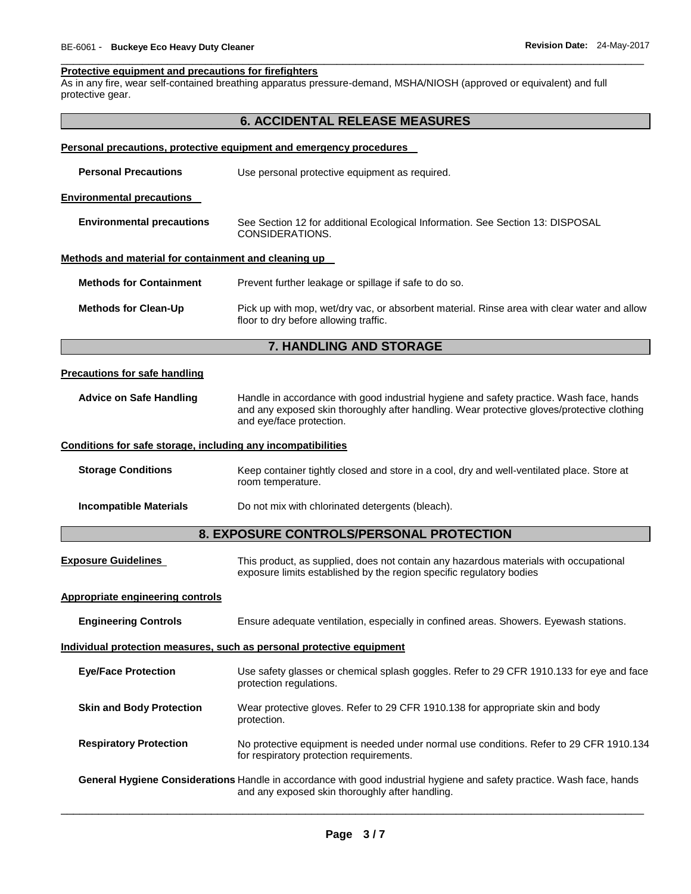#### **Protective equipment and precautions for firefighters**

As in any fire, wear self-contained breathing apparatus pressure-demand, MSHA/NIOSH (approved or equivalent) and full protective gear.

|                                                              | <b>6. ACCIDENTAL RELEASE MEASURES</b>                                                                                                                                                                             |
|--------------------------------------------------------------|-------------------------------------------------------------------------------------------------------------------------------------------------------------------------------------------------------------------|
|                                                              | Personal precautions, protective equipment and emergency procedures                                                                                                                                               |
| <b>Personal Precautions</b>                                  | Use personal protective equipment as required.                                                                                                                                                                    |
| <b>Environmental precautions</b>                             |                                                                                                                                                                                                                   |
| <b>Environmental precautions</b>                             | See Section 12 for additional Ecological Information. See Section 13: DISPOSAL<br>CONSIDERATIONS.                                                                                                                 |
| Methods and material for containment and cleaning up         |                                                                                                                                                                                                                   |
| <b>Methods for Containment</b>                               | Prevent further leakage or spillage if safe to do so.                                                                                                                                                             |
| <b>Methods for Clean-Up</b>                                  | Pick up with mop, wet/dry vac, or absorbent material. Rinse area with clear water and allow<br>floor to dry before allowing traffic.                                                                              |
|                                                              | 7. HANDLING AND STORAGE                                                                                                                                                                                           |
| <b>Precautions for safe handling</b>                         |                                                                                                                                                                                                                   |
| <b>Advice on Safe Handling</b>                               | Handle in accordance with good industrial hygiene and safety practice. Wash face, hands<br>and any exposed skin thoroughly after handling. Wear protective gloves/protective clothing<br>and eye/face protection. |
| Conditions for safe storage, including any incompatibilities |                                                                                                                                                                                                                   |
| <b>Storage Conditions</b>                                    | Keep container tightly closed and store in a cool, dry and well-ventilated place. Store at<br>room temperature.                                                                                                   |
| <b>Incompatible Materials</b>                                | Do not mix with chlorinated detergents (bleach).                                                                                                                                                                  |
|                                                              | 8. EXPOSURE CONTROLS/PERSONAL PROTECTION                                                                                                                                                                          |
| <b>Exposure Guidelines</b>                                   | This product, as supplied, does not contain any hazardous materials with occupational<br>exposure limits established by the region specific regulatory bodies                                                     |
| <b>Appropriate engineering controls</b>                      |                                                                                                                                                                                                                   |
| <b>Engineering Controls</b>                                  | Ensure adequate ventilation, especially in confined areas. Showers. Eyewash stations.                                                                                                                             |
|                                                              | Individual protection measures, such as personal protective equipment                                                                                                                                             |
| <b>Eye/Face Protection</b>                                   | Use safety glasses or chemical splash goggles. Refer to 29 CFR 1910.133 for eye and face<br>protection regulations.                                                                                               |
| <b>Skin and Body Protection</b>                              | Wear protective gloves. Refer to 29 CFR 1910.138 for appropriate skin and body<br>protection.                                                                                                                     |
| <b>Respiratory Protection</b>                                | No protective equipment is needed under normal use conditions. Refer to 29 CFR 1910.134<br>for respiratory protection requirements.                                                                               |
|                                                              | General Hygiene Considerations Handle in accordance with good industrial hygiene and safety practice. Wash face, hands<br>and any exposed skin thoroughly after handling.                                         |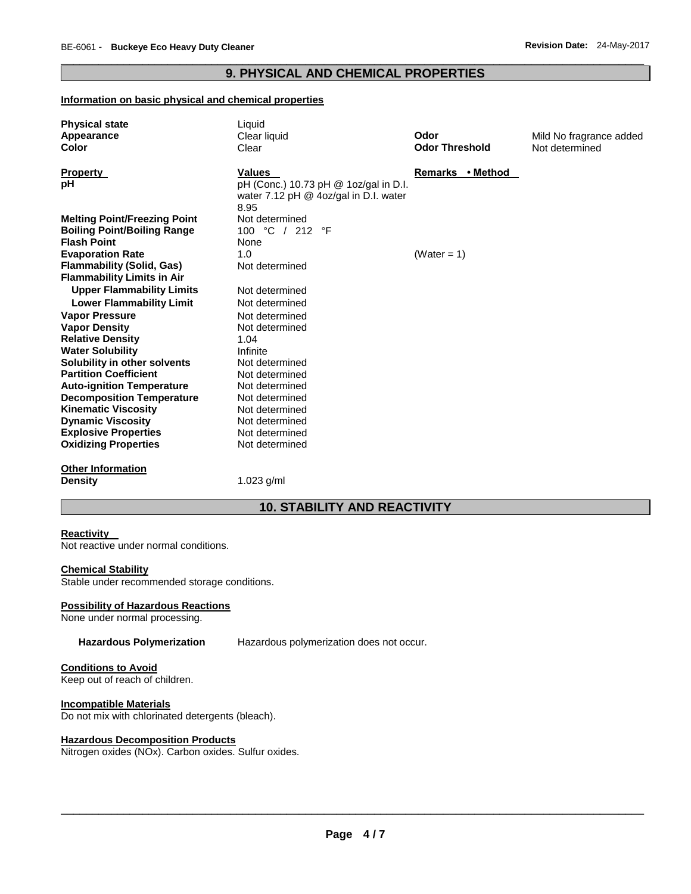# \_\_\_\_\_\_\_\_\_\_\_\_\_\_\_\_\_\_\_\_\_\_\_\_\_\_\_\_\_\_\_\_\_\_\_\_\_\_\_\_\_\_\_\_\_\_\_\_\_\_\_\_\_\_\_\_\_\_\_\_\_\_\_\_\_\_\_\_\_\_\_\_\_\_\_\_\_\_\_\_\_\_\_\_\_\_\_\_\_\_\_\_\_ **9. PHYSICAL AND CHEMICAL PROPERTIES**

#### **Information on basic physical and chemical properties**

| <b>Physical state</b>               | Liquid                                |                       |                         |  |  |  |
|-------------------------------------|---------------------------------------|-----------------------|-------------------------|--|--|--|
| Appearance                          | Clear liquid                          | Odor                  | Mild No fragrance added |  |  |  |
| Color                               | Clear                                 | <b>Odor Threshold</b> | Not determined          |  |  |  |
| Property                            | Values                                | Remarks • Method      |                         |  |  |  |
| рH                                  | pH (Conc.) 10.73 pH @ 1oz/gal in D.I. |                       |                         |  |  |  |
|                                     | water 7.12 pH @ 4oz/gal in D.I. water |                       |                         |  |  |  |
|                                     | 8.95                                  |                       |                         |  |  |  |
| <b>Melting Point/Freezing Point</b> | Not determined                        |                       |                         |  |  |  |
| <b>Boiling Point/Boiling Range</b>  | 100 °C / 212 °F                       |                       |                         |  |  |  |
| <b>Flash Point</b>                  | None                                  |                       |                         |  |  |  |
| <b>Evaporation Rate</b>             | 1.0                                   | (Water = $1$ )        |                         |  |  |  |
| <b>Flammability (Solid, Gas)</b>    | Not determined                        |                       |                         |  |  |  |
| <b>Flammability Limits in Air</b>   |                                       |                       |                         |  |  |  |
| <b>Upper Flammability Limits</b>    | Not determined                        |                       |                         |  |  |  |
| <b>Lower Flammability Limit</b>     | Not determined                        |                       |                         |  |  |  |
| <b>Vapor Pressure</b>               | Not determined                        |                       |                         |  |  |  |
| <b>Vapor Density</b>                | Not determined                        |                       |                         |  |  |  |
| <b>Relative Density</b>             | 1.04                                  |                       |                         |  |  |  |
| <b>Water Solubility</b>             | Infinite                              |                       |                         |  |  |  |
| Solubility in other solvents        | Not determined                        |                       |                         |  |  |  |
| <b>Partition Coefficient</b>        | Not determined                        |                       |                         |  |  |  |
| <b>Auto-ignition Temperature</b>    | Not determined                        |                       |                         |  |  |  |
| <b>Decomposition Temperature</b>    | Not determined                        |                       |                         |  |  |  |
| <b>Kinematic Viscosity</b>          | Not determined                        |                       |                         |  |  |  |
| <b>Dynamic Viscosity</b>            | Not determined                        |                       |                         |  |  |  |
| <b>Explosive Properties</b>         | Not determined                        |                       |                         |  |  |  |
| <b>Oxidizing Properties</b>         | Not determined                        |                       |                         |  |  |  |
| <b>Other Information</b>            |                                       |                       |                         |  |  |  |
| <b>Density</b>                      | 1.023 $g/ml$                          |                       |                         |  |  |  |
|                                     | <b>10. STABILITY AND REACTIVITY</b>   |                       |                         |  |  |  |

### **Reactivity**

Not reactive under normal conditions.

#### **Chemical Stability**

Stable under recommended storage conditions.

### **Possibility of Hazardous Reactions**

None under normal processing.

**Hazardous Polymerization** Hazardous polymerization does not occur.

# **Conditions to Avoid**

Keep out of reach of children.

#### **Incompatible Materials**

Do not mix with chlorinated detergents (bleach).

### **Hazardous Decomposition Products**

Nitrogen oxides (NOx). Carbon oxides. Sulfur oxides.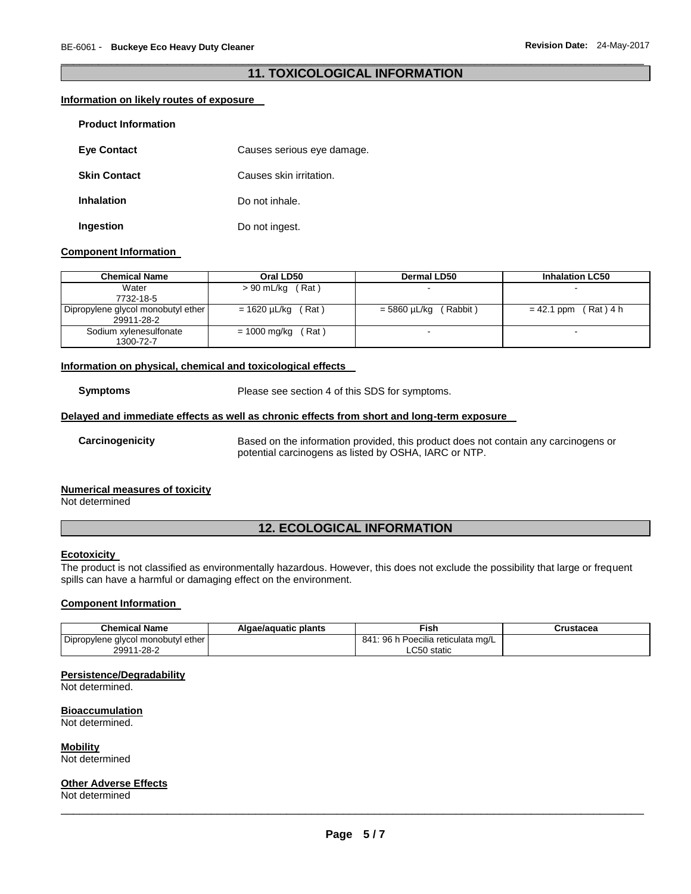# \_\_\_\_\_\_\_\_\_\_\_\_\_\_\_\_\_\_\_\_\_\_\_\_\_\_\_\_\_\_\_\_\_\_\_\_\_\_\_\_\_\_\_\_\_\_\_\_\_\_\_\_\_\_\_\_\_\_\_\_\_\_\_\_\_\_\_\_\_\_\_\_\_\_\_\_\_\_\_\_\_\_\_\_\_\_\_\_\_\_\_\_\_ **11. TOXICOLOGICAL INFORMATION**

#### **Information on likely routes of exposure**

| <b>Product Information</b> |                            |
|----------------------------|----------------------------|
| <b>Eye Contact</b>         | Causes serious eye damage. |
| <b>Skin Contact</b>        | Causes skin irritation.    |
| <b>Inhalation</b>          | Do not inhale.             |
| Ingestion                  | Do not ingest.             |

#### **Component Information**

| <b>Chemical Name</b>               | Oral LD50               | Dermal LD50              | <b>Inhalation LC50</b>    |  |
|------------------------------------|-------------------------|--------------------------|---------------------------|--|
| Water                              | $> 90$ mL/kg (Rat)      |                          |                           |  |
| 7732-18-5                          |                         |                          |                           |  |
| Dipropylene glycol monobutyl ether | $= 1620 \mu L/kg$ (Rat) | (Rabbit)<br>= 5860 µL/kg | (Rat) 4 h<br>$= 42.1$ ppm |  |
| 29911-28-2                         |                         |                          |                           |  |
| Sodium xylenesulfonate             | ์ Rat )<br>= 1000 mg/kg |                          |                           |  |
| 1300-72-7                          |                         |                          |                           |  |

#### **Information on physical, chemical and toxicological effects**

**Symptoms** Please see section 4 of this SDS for symptoms.

#### **Delayed and immediate effects as well as chronic effects from short and long-term exposure**

**Carcinogenicity** Based on the information provided, this product does not contain any carcinogens or potential carcinogens as listed by OSHA, IARC or NTP.

#### **Numerical measures of toxicity**

Not determined

# **12. ECOLOGICAL INFORMATION**

### **Ecotoxicity**

The product is not classified as environmentally hazardous. However, this does not exclude the possibility that large or frequent spills can have a harmful or damaging effect on the environment.

#### **Component Information**

| <b>Chemical Name</b>               | Algae/aguatic plants | $\overline{\phantom{a}}$ ish                | Crustacea |
|------------------------------------|----------------------|---------------------------------------------|-----------|
| Dipropylene glycol monobutyl ether |                      | 3 h Poecilia reticulata mɑ/L<br>96 h<br>841 |           |
| 29911-28-2                         |                      | ∟C50 static                                 |           |

#### **Persistence/Degradability**

Not determined.

# **Bioaccumulation**

Not determined.

# **Mobility**

Not determined

#### **Other Adverse Effects**

Not determined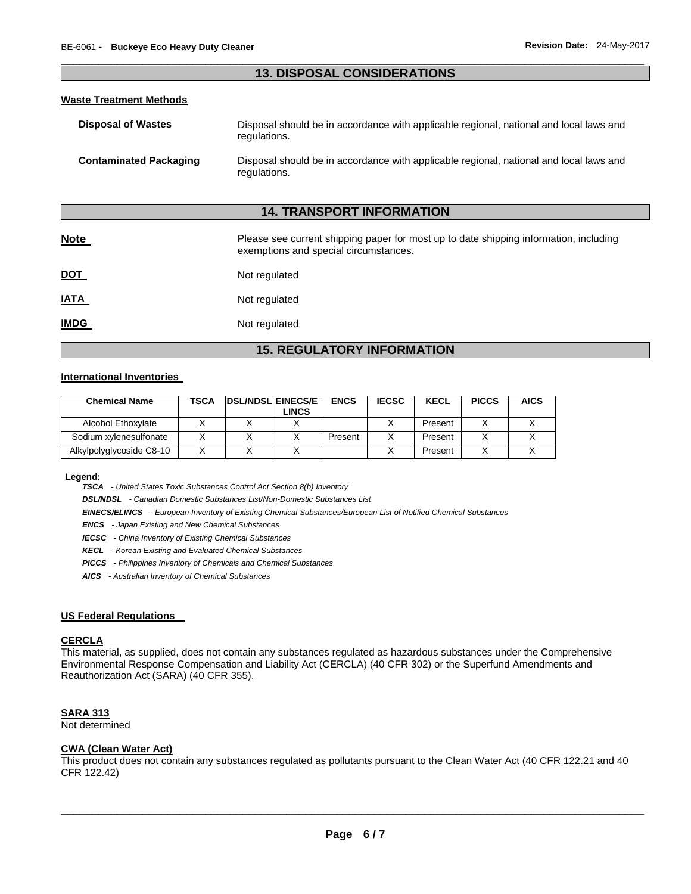# \_\_\_\_\_\_\_\_\_\_\_\_\_\_\_\_\_\_\_\_\_\_\_\_\_\_\_\_\_\_\_\_\_\_\_\_\_\_\_\_\_\_\_\_\_\_\_\_\_\_\_\_\_\_\_\_\_\_\_\_\_\_\_\_\_\_\_\_\_\_\_\_\_\_\_\_\_\_\_\_\_\_\_\_\_\_\_\_\_\_\_\_\_ **13. DISPOSAL CONSIDERATIONS**

#### **Waste Treatment Methods**

| <b>Disposal of Wastes</b>     | Disposal should be in accordance with applicable regional, national and local laws and<br>regulations. |
|-------------------------------|--------------------------------------------------------------------------------------------------------|
| <b>Contaminated Packaging</b> | Disposal should be in accordance with applicable regional, national and local laws and<br>regulations. |

# **14. TRANSPORT INFORMATION**

| <b>Note</b> | Please see current shipping paper for most up to date shipping information, including<br>exemptions and special circumstances. |
|-------------|--------------------------------------------------------------------------------------------------------------------------------|
| <u>DOT</u>  | Not regulated                                                                                                                  |
| <u>IATA</u> | Not regulated                                                                                                                  |
| <u>IMDG</u> | Not regulated                                                                                                                  |

# **15. REGULATORY INFORMATION**

#### **International Inventories**

| <b>Chemical Name</b>     | <b>TSCA</b> | <b>IDSL/NDSLIEINECS/EI</b><br><b>LINCS</b> | <b>ENCS</b> | <b>IECSC</b> | <b>KECL</b> | <b>PICCS</b> | <b>AICS</b> |
|--------------------------|-------------|--------------------------------------------|-------------|--------------|-------------|--------------|-------------|
| Alcohol Ethoxylate       |             |                                            |             |              | Present     |              |             |
| Sodium xylenesulfonate   |             |                                            | Present     |              | Present     |              |             |
| Alkylpolyglycoside C8-10 |             |                                            |             |              | Present     |              |             |

**Legend:** 

*TSCA - United States Toxic Substances Control Act Section 8(b) Inventory* 

*DSL/NDSL - Canadian Domestic Substances List/Non-Domestic Substances List* 

*EINECS/ELINCS - European Inventory of Existing Chemical Substances/European List of Notified Chemical Substances* 

*ENCS - Japan Existing and New Chemical Substances* 

*IECSC - China Inventory of Existing Chemical Substances* 

*KECL - Korean Existing and Evaluated Chemical Substances* 

*PICCS - Philippines Inventory of Chemicals and Chemical Substances* 

*AICS - Australian Inventory of Chemical Substances* 

#### **US Federal Regulations**

## **CERCLA**

This material, as supplied, does not contain any substances regulated as hazardous substances under the Comprehensive Environmental Response Compensation and Liability Act (CERCLA) (40 CFR 302) or the Superfund Amendments and Reauthorization Act (SARA) (40 CFR 355).

#### **SARA 313**

Not determined

#### **CWA (Clean Water Act)**

This product does not contain any substances regulated as pollutants pursuant to the Clean Water Act (40 CFR 122.21 and 40 CFR 122.42)